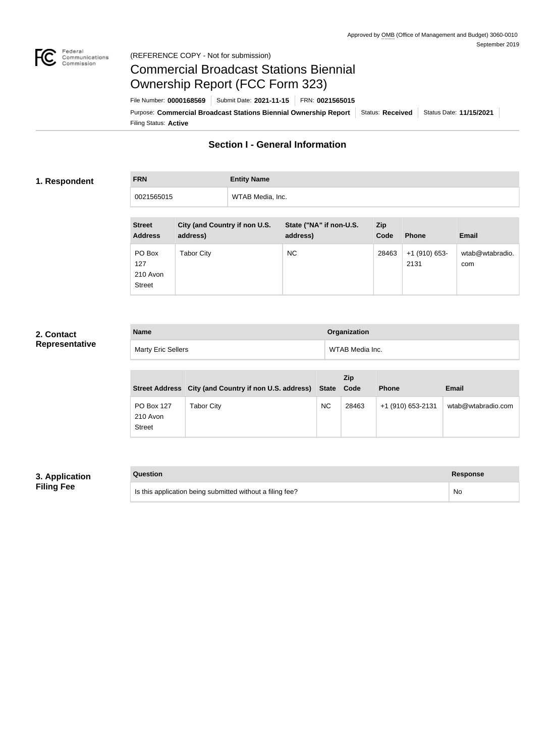

## Federal<br>Communications<br>Commission (REFERENCE COPY - Not for submission)

# Commercial Broadcast Stations Biennial Ownership Report (FCC Form 323)

Filing Status: **Active** Purpose: Commercial Broadcast Stations Biennial Ownership Report Status: Received Status Date: 11/15/2021 File Number: **0000168569** Submit Date: **2021-11-15** FRN: **0021565015**

# **Section I - General Information**

### **1. Respondent**

**FRN Entity Name** 0021565015 WTAB Media, Inc.

| <b>Street</b><br><b>Address</b>            | City (and Country if non U.S.<br>address) | State ("NA" if non-U.S.<br>address) | Zip<br>Code | <b>Phone</b>            | <b>Email</b>           |
|--------------------------------------------|-------------------------------------------|-------------------------------------|-------------|-------------------------|------------------------|
| PO Box<br>127<br>210 Avon<br><b>Street</b> | Tabor City                                | <b>NC</b>                           | 28463       | $+1$ (910) 653-<br>2131 | wtab@wtabradio.<br>com |

# **2. Contact Representative**

| <b>Name</b>               | Organization    |
|---------------------------|-----------------|
| <b>Marty Eric Sellers</b> | WTAB Media Inc. |

|                                         | Street Address City (and Country if non U.S. address) State |           | <b>Zip</b><br>Code | <b>Phone</b>      | <b>Email</b>       |
|-----------------------------------------|-------------------------------------------------------------|-----------|--------------------|-------------------|--------------------|
| PO Box 127<br>210 Avon<br><b>Street</b> | Tabor City                                                  | <b>NC</b> | 28463              | +1 (910) 653-2131 | wtab@wtabradio.com |

# **3. Application Filing Fee**

| Question                                                  | Response  |
|-----------------------------------------------------------|-----------|
| Is this application being submitted without a filing fee? | <b>No</b> |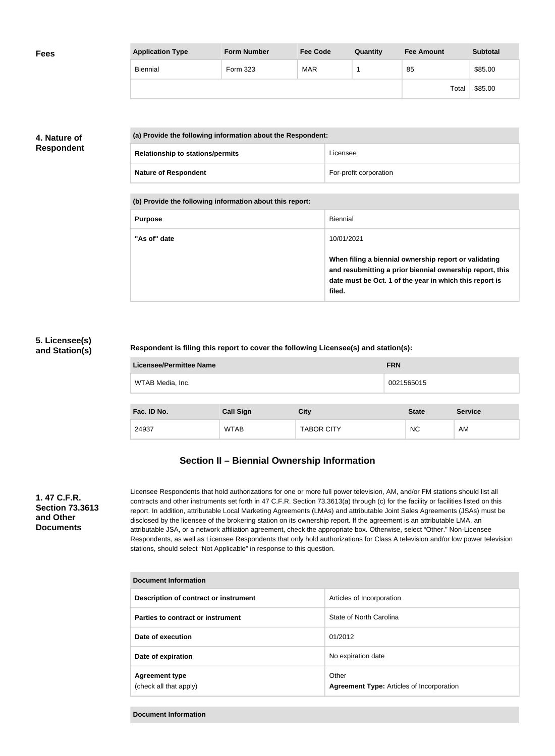| <b>Fees</b> | <b>Application Type</b> | <b>Form Number</b> | <b>Fee Code</b> | Quantity | <b>Fee Amount</b> | <b>Subtotal</b> |
|-------------|-------------------------|--------------------|-----------------|----------|-------------------|-----------------|
|             | Biennial                | Form 323           | <b>MAR</b>      |          | 85                | \$85.00         |
|             |                         |                    |                 |          | Total             | \$85.00         |

# **4. Nature of Respondent**

| (a) Provide the following information about the Respondent: |                        |  |  |
|-------------------------------------------------------------|------------------------|--|--|
| <b>Relationship to stations/permits</b>                     | Licensee               |  |  |
| <b>Nature of Respondent</b>                                 | For-profit corporation |  |  |

**(b) Provide the following information about this report:**

| <b>Purpose</b> | Biennial                                                                                                                                                                               |
|----------------|----------------------------------------------------------------------------------------------------------------------------------------------------------------------------------------|
| "As of" date   | 10/01/2021                                                                                                                                                                             |
|                | When filing a biennial ownership report or validating<br>and resubmitting a prior biennial ownership report, this<br>date must be Oct. 1 of the year in which this report is<br>filed. |

# **5. Licensee(s) and Station(s)**

### **Respondent is filing this report to cover the following Licensee(s) and station(s):**

| <b>Licensee/Permittee Name</b>        | <b>FRN</b>                              |              |               |                             |  |  |
|---------------------------------------|-----------------------------------------|--------------|---------------|-----------------------------|--|--|
| WTAB Media, Inc.                      |                                         |              | 0021565015    |                             |  |  |
|                                       |                                         |              |               |                             |  |  |
| $P_{\text{max}}$ and $P_{\text{max}}$ | $\mathbf{A}$ . If $\mathbf{A}$ is a set | $\mathbf{A}$ | $\sim$ $\sim$ | $\sim$ $\sim$ $\sim$ $\sim$ |  |  |

| Fac. ID No. | <b>Call Sign</b> | City              | <b>State</b> | <b>Service</b> |
|-------------|------------------|-------------------|--------------|----------------|
| 24937       | <b>WTAB</b>      | <b>TABOR CITY</b> | <b>NC</b>    | AM             |

# **Section II – Biennial Ownership Information**

## **1. 47 C.F.R. Section 73.3613 and Other Documents**

Licensee Respondents that hold authorizations for one or more full power television, AM, and/or FM stations should list all contracts and other instruments set forth in 47 C.F.R. Section 73.3613(a) through (c) for the facility or facilities listed on this report. In addition, attributable Local Marketing Agreements (LMAs) and attributable Joint Sales Agreements (JSAs) must be disclosed by the licensee of the brokering station on its ownership report. If the agreement is an attributable LMA, an attributable JSA, or a network affiliation agreement, check the appropriate box. Otherwise, select "Other." Non-Licensee Respondents, as well as Licensee Respondents that only hold authorizations for Class A television and/or low power television stations, should select "Not Applicable" in response to this question.

| Document Information                            |                                                           |  |  |  |  |
|-------------------------------------------------|-----------------------------------------------------------|--|--|--|--|
| Description of contract or instrument           | Articles of Incorporation                                 |  |  |  |  |
| Parties to contract or instrument               | State of North Carolina                                   |  |  |  |  |
| Date of execution                               | 01/2012                                                   |  |  |  |  |
| Date of expiration                              | No expiration date                                        |  |  |  |  |
| <b>Agreement type</b><br>(check all that apply) | Other<br><b>Agreement Type: Articles of Incorporation</b> |  |  |  |  |

**Document Information**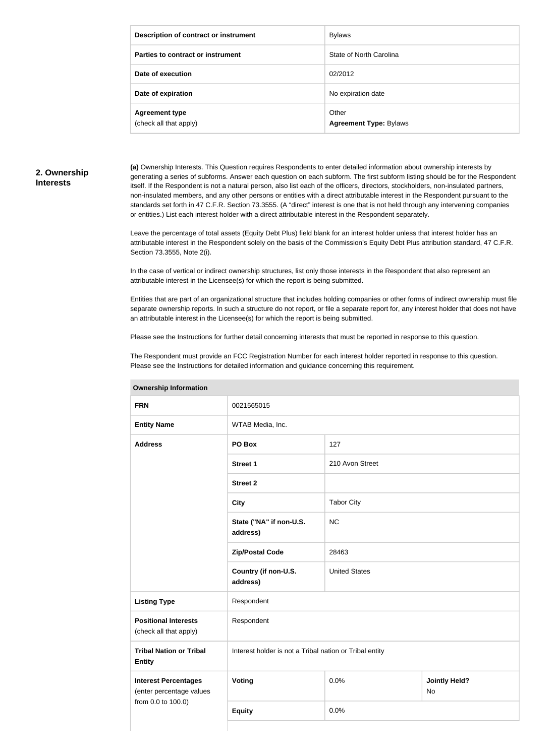| Description of contract or instrument           | <b>Bylaws</b>                          |
|-------------------------------------------------|----------------------------------------|
| Parties to contract or instrument               | State of North Carolina                |
| Date of execution                               | 02/2012                                |
| Date of expiration                              | No expiration date                     |
| <b>Agreement type</b><br>(check all that apply) | Other<br><b>Agreement Type: Bylaws</b> |

# **2. Ownership Interests**

**(a)** Ownership Interests. This Question requires Respondents to enter detailed information about ownership interests by generating a series of subforms. Answer each question on each subform. The first subform listing should be for the Respondent itself. If the Respondent is not a natural person, also list each of the officers, directors, stockholders, non-insulated partners, non-insulated members, and any other persons or entities with a direct attributable interest in the Respondent pursuant to the standards set forth in 47 C.F.R. Section 73.3555. (A "direct" interest is one that is not held through any intervening companies or entities.) List each interest holder with a direct attributable interest in the Respondent separately.

Leave the percentage of total assets (Equity Debt Plus) field blank for an interest holder unless that interest holder has an attributable interest in the Respondent solely on the basis of the Commission's Equity Debt Plus attribution standard, 47 C.F.R. Section 73.3555, Note 2(i).

In the case of vertical or indirect ownership structures, list only those interests in the Respondent that also represent an attributable interest in the Licensee(s) for which the report is being submitted.

Entities that are part of an organizational structure that includes holding companies or other forms of indirect ownership must file separate ownership reports. In such a structure do not report, or file a separate report for, any interest holder that does not have an attributable interest in the Licensee(s) for which the report is being submitted.

Please see the Instructions for further detail concerning interests that must be reported in response to this question.

The Respondent must provide an FCC Registration Number for each interest holder reported in response to this question. Please see the Instructions for detailed information and guidance concerning this requirement.

| <b>UWIIGI SHIP IHIUHIIGUUH</b>                                                                             |                                     |                      |                                   |  |  |
|------------------------------------------------------------------------------------------------------------|-------------------------------------|----------------------|-----------------------------------|--|--|
| <b>FRN</b>                                                                                                 | 0021565015                          |                      |                                   |  |  |
| <b>Entity Name</b>                                                                                         | WTAB Media, Inc.                    |                      |                                   |  |  |
| <b>Address</b>                                                                                             | PO Box                              | 127                  |                                   |  |  |
|                                                                                                            | <b>Street 1</b>                     | 210 Avon Street      |                                   |  |  |
|                                                                                                            | <b>Street 2</b>                     |                      |                                   |  |  |
|                                                                                                            | <b>City</b>                         | <b>Tabor City</b>    |                                   |  |  |
|                                                                                                            | State ("NA" if non-U.S.<br>address) | <b>NC</b>            |                                   |  |  |
|                                                                                                            | <b>Zip/Postal Code</b>              | 28463                |                                   |  |  |
|                                                                                                            | Country (if non-U.S.<br>address)    | <b>United States</b> |                                   |  |  |
| <b>Listing Type</b>                                                                                        | Respondent                          |                      |                                   |  |  |
| <b>Positional Interests</b><br>(check all that apply)                                                      | Respondent                          |                      |                                   |  |  |
| Interest holder is not a Tribal nation or Tribal entity<br><b>Tribal Nation or Tribal</b><br><b>Entity</b> |                                     |                      |                                   |  |  |
| <b>Interest Percentages</b><br>(enter percentage values                                                    | Voting                              | 0.0%                 | <b>Jointly Held?</b><br><b>No</b> |  |  |
| from 0.0 to 100.0)                                                                                         | <b>Equity</b>                       | 0.0%                 |                                   |  |  |
|                                                                                                            |                                     |                      |                                   |  |  |

**Ownership Information**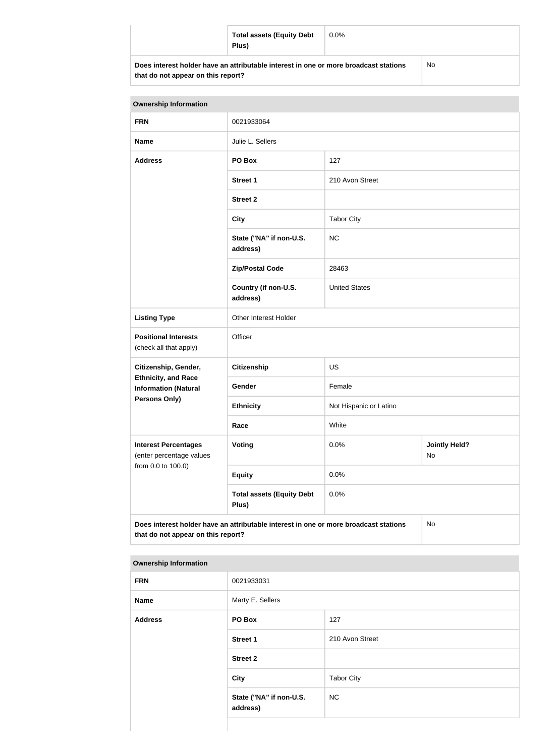|                                                                                                   | <b>Total assets (Equity Debt</b><br>Plus) | $0.0\%$ |  |
|---------------------------------------------------------------------------------------------------|-------------------------------------------|---------|--|
| Does interest holder have an attributable interest in one or more broadcast stations<br><b>No</b> |                                           |         |  |

**that do not appear on this report?**

**NC** 

| <b>Ownership Information</b>                                                                                                     |                                           |                        |                            |
|----------------------------------------------------------------------------------------------------------------------------------|-------------------------------------------|------------------------|----------------------------|
| <b>FRN</b>                                                                                                                       | 0021933064                                |                        |                            |
| <b>Name</b>                                                                                                                      | Julie L. Sellers                          |                        |                            |
| <b>Address</b>                                                                                                                   | PO Box                                    | 127                    |                            |
|                                                                                                                                  | <b>Street 1</b>                           | 210 Avon Street        |                            |
|                                                                                                                                  | <b>Street 2</b>                           |                        |                            |
|                                                                                                                                  | <b>City</b>                               | <b>Tabor City</b>      |                            |
|                                                                                                                                  | State ("NA" if non-U.S.<br>address)       | <b>NC</b>              |                            |
|                                                                                                                                  | <b>Zip/Postal Code</b>                    | 28463                  |                            |
|                                                                                                                                  | Country (if non-U.S.<br>address)          | <b>United States</b>   |                            |
| <b>Listing Type</b>                                                                                                              | Other Interest Holder                     |                        |                            |
| <b>Positional Interests</b><br>(check all that apply)                                                                            | Officer                                   |                        |                            |
| Citizenship, Gender,                                                                                                             | <b>Citizenship</b>                        | <b>US</b>              |                            |
| <b>Ethnicity, and Race</b><br><b>Information (Natural</b>                                                                        | Gender                                    | Female                 |                            |
| Persons Only)                                                                                                                    | <b>Ethnicity</b>                          | Not Hispanic or Latino |                            |
|                                                                                                                                  | Race                                      | White                  |                            |
| <b>Interest Percentages</b><br>(enter percentage values<br>from 0.0 to 100.0)                                                    | <b>Voting</b>                             | 0.0%                   | <b>Jointly Held?</b><br>No |
|                                                                                                                                  | <b>Equity</b>                             | 0.0%                   |                            |
|                                                                                                                                  | <b>Total assets (Equity Debt</b><br>Plus) | 0.0%                   |                            |
| Does interest holder have an attributable interest in one or more broadcast stations<br>No<br>that do not appear on this report? |                                           |                        |                            |

**Ownership Information**

| <b>FRN</b>     | 0021933031                          |                   |
|----------------|-------------------------------------|-------------------|
| <b>Name</b>    | Marty E. Sellers                    |                   |
| <b>Address</b> | PO Box                              | 127               |
|                | <b>Street 1</b>                     | 210 Avon Street   |
|                | <b>Street 2</b>                     |                   |
|                | City                                | <b>Tabor City</b> |
|                | State ("NA" if non-U.S.<br>address) | <b>NC</b>         |
|                |                                     |                   |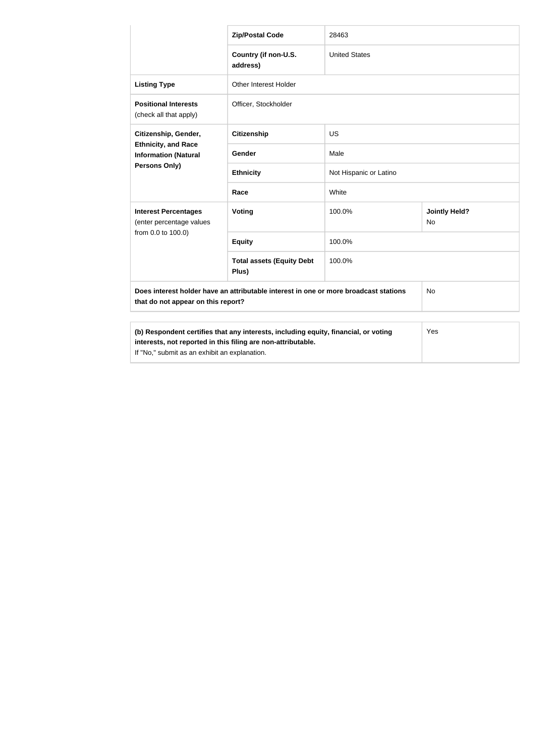|                                                                                                                                                     | <b>Zip/Postal Code</b>                    | 28463                  |                                   |
|-----------------------------------------------------------------------------------------------------------------------------------------------------|-------------------------------------------|------------------------|-----------------------------------|
|                                                                                                                                                     | Country (if non-U.S.<br>address)          | <b>United States</b>   |                                   |
| <b>Listing Type</b>                                                                                                                                 | Other Interest Holder                     |                        |                                   |
| <b>Positional Interests</b><br>(check all that apply)                                                                                               | Officer, Stockholder                      |                        |                                   |
| Citizenship, Gender,<br><b>Ethnicity, and Race</b><br><b>Information (Natural</b><br><b>Persons Only)</b>                                           | <b>Citizenship</b>                        | US                     |                                   |
|                                                                                                                                                     | Gender                                    | Male                   |                                   |
|                                                                                                                                                     | <b>Ethnicity</b>                          | Not Hispanic or Latino |                                   |
|                                                                                                                                                     | Race                                      | White                  |                                   |
| <b>Interest Percentages</b><br>(enter percentage values                                                                                             | Voting                                    | 100.0%                 | <b>Jointly Held?</b><br><b>No</b> |
| from 0.0 to 100.0)                                                                                                                                  | <b>Equity</b>                             | 100.0%                 |                                   |
|                                                                                                                                                     | <b>Total assets (Equity Debt</b><br>Plus) | 100.0%                 |                                   |
| Does interest holder have an attributable interest in one or more broadcast stations<br><b>No</b><br>that do not appear on this report?             |                                           |                        |                                   |
| (b) Respondent certifies that any interests, including equity, financial, or voting<br>interests, not reported in this filing are non-attributable. |                                           |                        | Yes                               |

If "No," submit as an exhibit an explanation.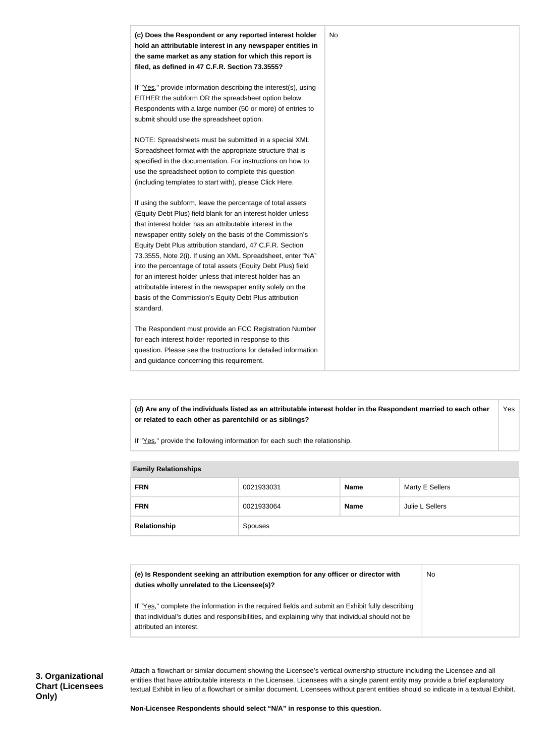

**(d) Are any of the individuals listed as an attributable interest holder in the Respondent married to each other or related to each other as parentchild or as siblings?** Yes

If "Yes," provide the following information for each such the relationship.

| <b>Fallilly Relationships</b> |            |             |                 |
|-------------------------------|------------|-------------|-----------------|
| <b>FRN</b>                    | 0021933031 | <b>Name</b> | Marty E Sellers |
| <b>FRN</b>                    | 0021933064 | <b>Name</b> | Julie L Sellers |
| Relationship                  | Spouses    |             |                 |

#### **Family Relationships**

| (e) Is Respondent seeking an attribution exemption for any officer or director with<br>duties wholly unrelated to the Licensee(s)?                                                                  | No. |
|-----------------------------------------------------------------------------------------------------------------------------------------------------------------------------------------------------|-----|
| If "Yes," complete the information in the required fields and submit an Exhibit fully describing<br>that individual's duties and responsibilities, and explaining why that individual should not be |     |
| attributed an interest.                                                                                                                                                                             |     |

Attach a flowchart or similar document showing the Licensee's vertical ownership structure including the Licensee and all entities that have attributable interests in the Licensee. Licensees with a single parent entity may provide a brief explanatory textual Exhibit in lieu of a flowchart or similar document. Licensees without parent entities should so indicate in a textual Exhibit.

**Non-Licensee Respondents should select "N/A" in response to this question.**